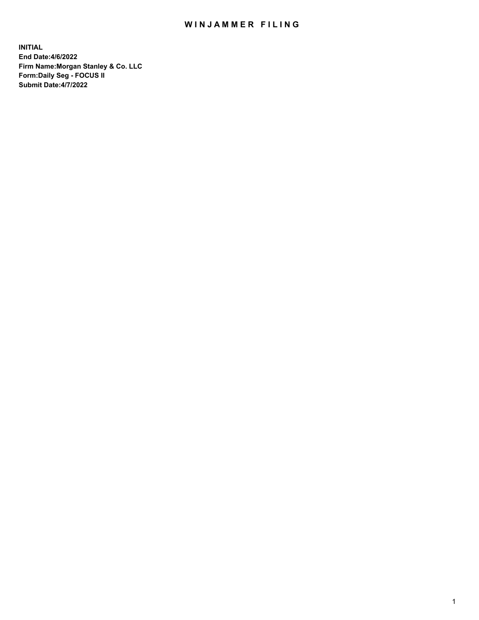## WIN JAMMER FILING

**INITIAL End Date:4/6/2022 Firm Name:Morgan Stanley & Co. LLC Form:Daily Seg - FOCUS II Submit Date:4/7/2022**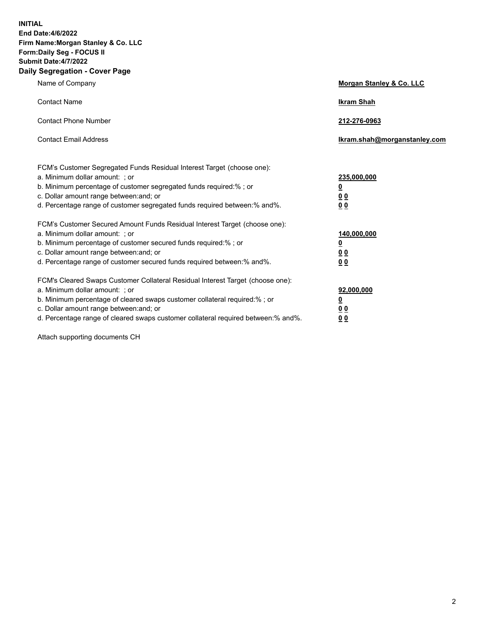**INITIAL End Date:4/6/2022 Firm Name:Morgan Stanley & Co. LLC Form:Daily Seg - FOCUS II Submit Date:4/7/2022 Daily Segregation - Cover Page**

| Name of Company                                                                                                                                                                                                                                                                                                               | Morgan Stanley & Co. LLC                                                     |
|-------------------------------------------------------------------------------------------------------------------------------------------------------------------------------------------------------------------------------------------------------------------------------------------------------------------------------|------------------------------------------------------------------------------|
| <b>Contact Name</b>                                                                                                                                                                                                                                                                                                           | <b>Ikram Shah</b>                                                            |
| <b>Contact Phone Number</b>                                                                                                                                                                                                                                                                                                   | 212-276-0963                                                                 |
| <b>Contact Email Address</b>                                                                                                                                                                                                                                                                                                  | Ikram.shah@morganstanley.com                                                 |
| FCM's Customer Segregated Funds Residual Interest Target (choose one):<br>a. Minimum dollar amount: ; or<br>b. Minimum percentage of customer segregated funds required:% ; or<br>c. Dollar amount range between: and; or<br>d. Percentage range of customer segregated funds required between: % and %.                      | 235,000,000<br><u>0</u><br><u>00</u><br>0 Q                                  |
| FCM's Customer Secured Amount Funds Residual Interest Target (choose one):<br>a. Minimum dollar amount: ; or<br>b. Minimum percentage of customer secured funds required:%; or<br>c. Dollar amount range between: and; or<br>d. Percentage range of customer secured funds required between:% and%.                           | 140,000,000<br><u>0</u><br>$\underline{0}$ $\underline{0}$<br>0 <sup>0</sup> |
| FCM's Cleared Swaps Customer Collateral Residual Interest Target (choose one):<br>a. Minimum dollar amount: ; or<br>b. Minimum percentage of cleared swaps customer collateral required:%; or<br>c. Dollar amount range between: and; or<br>d. Percentage range of cleared swaps customer collateral required between:% and%. | 92,000,000<br><u>0</u><br><u>00</u><br>00                                    |

Attach supporting documents CH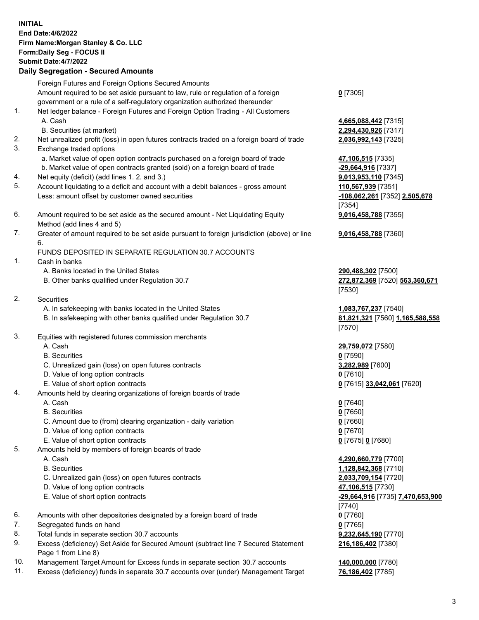|    | <b>INITIAL</b>                                                                              |                                  |
|----|---------------------------------------------------------------------------------------------|----------------------------------|
|    | <b>End Date:4/6/2022</b>                                                                    |                                  |
|    | Firm Name: Morgan Stanley & Co. LLC                                                         |                                  |
|    | Form: Daily Seg - FOCUS II                                                                  |                                  |
|    | <b>Submit Date: 4/7/2022</b>                                                                |                                  |
|    |                                                                                             |                                  |
|    | <b>Daily Segregation - Secured Amounts</b>                                                  |                                  |
|    | Foreign Futures and Foreign Options Secured Amounts                                         |                                  |
|    | Amount required to be set aside pursuant to law, rule or regulation of a foreign            | $0$ [7305]                       |
|    | government or a rule of a self-regulatory organization authorized thereunder                |                                  |
| 1. | Net ledger balance - Foreign Futures and Foreign Option Trading - All Customers             |                                  |
|    |                                                                                             |                                  |
|    | A. Cash                                                                                     | 4,665,088,442 [7315]             |
|    | B. Securities (at market)                                                                   | 2,294,430,926 [7317]             |
| 2. | Net unrealized profit (loss) in open futures contracts traded on a foreign board of trade   | 2,036,992,143 [7325]             |
| 3. | Exchange traded options                                                                     |                                  |
|    | a. Market value of open option contracts purchased on a foreign board of trade              | 47,106,515 [7335]                |
|    | b. Market value of open contracts granted (sold) on a foreign board of trade                | -29,664,916 [7337]               |
| 4. | Net equity (deficit) (add lines 1. 2. and 3.)                                               | 9,013,953,110 [7345]             |
| 5. | Account liquidating to a deficit and account with a debit balances - gross amount           | 110,567,939 [7351]               |
|    |                                                                                             |                                  |
|    | Less: amount offset by customer owned securities                                            | -108,062,261 [7352] 2,505,678    |
|    |                                                                                             | [7354]                           |
| 6. | Amount required to be set aside as the secured amount - Net Liquidating Equity              | 9,016,458,788 [7355]             |
|    | Method (add lines 4 and 5)                                                                  |                                  |
| 7. | Greater of amount required to be set aside pursuant to foreign jurisdiction (above) or line | 9,016,458,788 [7360]             |
|    | 6.                                                                                          |                                  |
|    | FUNDS DEPOSITED IN SEPARATE REGULATION 30.7 ACCOUNTS                                        |                                  |
| 1. | Cash in banks                                                                               |                                  |
|    | A. Banks located in the United States                                                       | 290,488,302 [7500]               |
|    | B. Other banks qualified under Regulation 30.7                                              | 272,872,369 [7520] 563,360,671   |
|    |                                                                                             |                                  |
|    |                                                                                             | [7530]                           |
| 2. | Securities                                                                                  |                                  |
|    | A. In safekeeping with banks located in the United States                                   | 1,083,767,237 [7540]             |
|    | B. In safekeeping with other banks qualified under Regulation 30.7                          | 81,821,321 [7560] 1,165,588,558  |
|    |                                                                                             | [7570]                           |
| 3. | Equities with registered futures commission merchants                                       |                                  |
|    | A. Cash                                                                                     | 29,759,072 [7580]                |
|    | <b>B.</b> Securities                                                                        | $0$ [7590]                       |
|    | C. Unrealized gain (loss) on open futures contracts                                         | 3,282,989 [7600]                 |
|    | D. Value of long option contracts                                                           | $0$ [7610]                       |
|    |                                                                                             |                                  |
|    | E. Value of short option contracts                                                          | 0 [7615] 33,042,061 [7620]       |
| 4. | Amounts held by clearing organizations of foreign boards of trade                           |                                  |
|    | A. Cash                                                                                     | $0$ [7640]                       |
|    | <b>B.</b> Securities                                                                        | $0$ [7650]                       |
|    | C. Amount due to (from) clearing organization - daily variation                             | $0$ [7660]                       |
|    | D. Value of long option contracts                                                           | 0 <sup>[7670]</sup>              |
|    | E. Value of short option contracts                                                          | $0$ [7675] 0 [7680]              |
| 5. | Amounts held by members of foreign boards of trade                                          |                                  |
|    | A. Cash                                                                                     | 4,290,660,779 [7700]             |
|    | <b>B.</b> Securities                                                                        | 1,128,842,368 [7710]             |
|    |                                                                                             |                                  |
|    | C. Unrealized gain (loss) on open futures contracts                                         | 2,033,709,154 [7720]             |
|    | D. Value of long option contracts                                                           | 47,106,515 [7730]                |
|    | E. Value of short option contracts                                                          | -29,664,916 [7735] 7,470,653,900 |
|    |                                                                                             | $[7740]$                         |
| 6. | Amounts with other depositories designated by a foreign board of trade                      | $0$ [7760]                       |
| 7. | Segregated funds on hand                                                                    | $0$ [7765]                       |
| 8. | Total funds in separate section 30.7 accounts                                               | 9,232,645,190 [7770]             |
| 9. | Excess (deficiency) Set Aside for Secured Amount (subtract line 7 Secured Statement         | 216,186,402 [7380]               |
|    | Page 1 from Line 8)                                                                         |                                  |

10. Management Target Amount for Excess funds in separate section 30.7 accounts **140,000,000** [7780]

11. Excess (deficiency) funds in separate 30.7 accounts over (under) Management Target **76,186,402** [7785]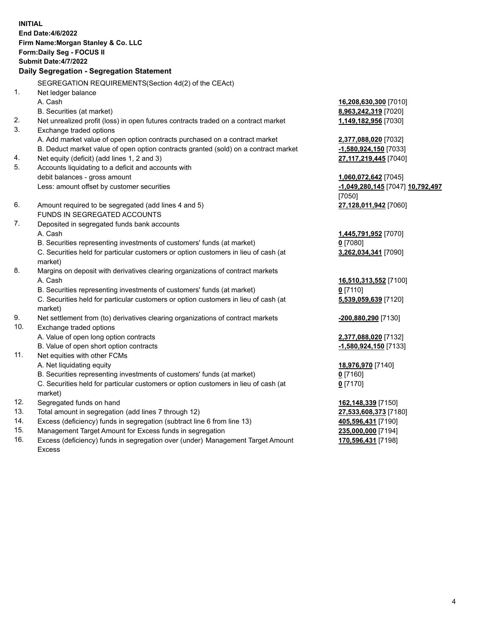**INITIAL End Date:4/6/2022 Firm Name:Morgan Stanley & Co. LLC Form:Daily Seg - FOCUS II Submit Date:4/7/2022 Daily Segregation - Segregation Statement** SEGREGATION REQUIREMENTS(Section 4d(2) of the CEAct) 1. Net ledger balance A. Cash **16,208,630,300** [7010] B. Securities (at market) **8,963,242,319** [7020] 2. Net unrealized profit (loss) in open futures contracts traded on a contract market **1,149,182,956** [7030] 3. Exchange traded options A. Add market value of open option contracts purchased on a contract market **2,377,088,020** [7032] B. Deduct market value of open option contracts granted (sold) on a contract market **-1,580,924,150** [7033] 4. Net equity (deficit) (add lines 1, 2 and 3) **27,117,219,445** [7040] 5. Accounts liquidating to a deficit and accounts with debit balances - gross amount **1,060,072,642** [7045] Less: amount offset by customer securities **-1,049,280,145** [7047] **10,792,497** [7050] 6. Amount required to be segregated (add lines 4 and 5) **27,128,011,942** [7060] FUNDS IN SEGREGATED ACCOUNTS 7. Deposited in segregated funds bank accounts A. Cash **1,445,791,952** [7070] B. Securities representing investments of customers' funds (at market) **0** [7080] C. Securities held for particular customers or option customers in lieu of cash (at market) **3,262,034,341** [7090] 8. Margins on deposit with derivatives clearing organizations of contract markets A. Cash **16,510,313,552** [7100] B. Securities representing investments of customers' funds (at market) **0** [7110] C. Securities held for particular customers or option customers in lieu of cash (at market) **5,539,059,639** [7120] 9. Net settlement from (to) derivatives clearing organizations of contract markets **-200,880,290** [7130] 10. Exchange traded options A. Value of open long option contracts **2,377,088,020** [7132] B. Value of open short option contracts **-1,580,924,150** [7133] 11. Net equities with other FCMs A. Net liquidating equity **18,976,970** [7140] B. Securities representing investments of customers' funds (at market) **0** [7160] C. Securities held for particular customers or option customers in lieu of cash (at market) **0** [7170] 12. Segregated funds on hand **162,148,339** [7150] 13. Total amount in segregation (add lines 7 through 12) **27,533,608,373** [7180] 14. Excess (deficiency) funds in segregation (subtract line 6 from line 13) **405,596,431** [7190] 15. Management Target Amount for Excess funds in segregation **235,000,000** [7194]

16. Excess (deficiency) funds in segregation over (under) Management Target Amount Excess

**170,596,431** [7198]